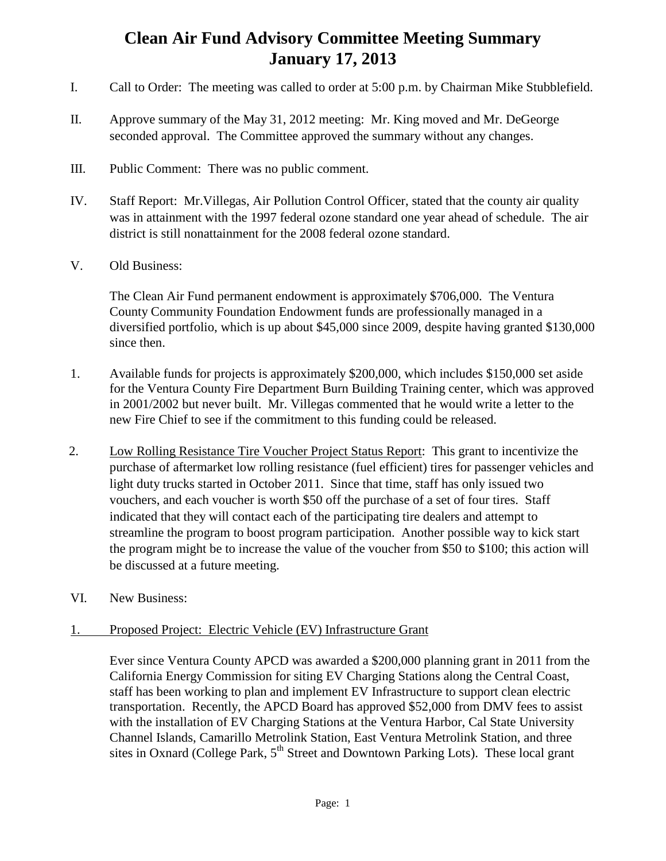## **Clean Air Fund Advisory Committee Meeting Summary January 17, 2013**

- I. Call to Order: The meeting was called to order at 5:00 p.m. by Chairman Mike Stubblefield.
- II. Approve summary of the May 31, 2012 meeting: Mr. King moved and Mr. DeGeorge seconded approval. The Committee approved the summary without any changes.
- III. Public Comment: There was no public comment.
- IV. Staff Report: Mr.Villegas, Air Pollution Control Officer, stated that the county air quality was in attainment with the 1997 federal ozone standard one year ahead of schedule. The air district is still nonattainment for the 2008 federal ozone standard.
- V. Old Business:

The Clean Air Fund permanent endowment is approximately \$706,000. The Ventura County Community Foundation Endowment funds are professionally managed in a diversified portfolio, which is up about \$45,000 since 2009, despite having granted \$130,000 since then.

- 1. Available funds for projects is approximately \$200,000, which includes \$150,000 set aside for the Ventura County Fire Department Burn Building Training center, which was approved in 2001/2002 but never built. Mr. Villegas commented that he would write a letter to the new Fire Chief to see if the commitment to this funding could be released.
- 2. Low Rolling Resistance Tire Voucher Project Status Report: This grant to incentivize the purchase of aftermarket low rolling resistance (fuel efficient) tires for passenger vehicles and light duty trucks started in October 2011. Since that time, staff has only issued two vouchers, and each voucher is worth \$50 off the purchase of a set of four tires. Staff indicated that they will contact each of the participating tire dealers and attempt to streamline the program to boost program participation. Another possible way to kick start the program might be to increase the value of the voucher from \$50 to \$100; this action will be discussed at a future meeting.
- VI. New Business:

## 1. Proposed Project: Electric Vehicle (EV) Infrastructure Grant

Ever since Ventura County APCD was awarded a \$200,000 planning grant in 2011 from the California Energy Commission for siting EV Charging Stations along the Central Coast, staff has been working to plan and implement EV Infrastructure to support clean electric transportation. Recently, the APCD Board has approved \$52,000 from DMV fees to assist with the installation of EV Charging Stations at the Ventura Harbor, Cal State University Channel Islands, Camarillo Metrolink Station, East Ventura Metrolink Station, and three sites in Oxnard (College Park,  $5<sup>th</sup>$  Street and Downtown Parking Lots). These local grant